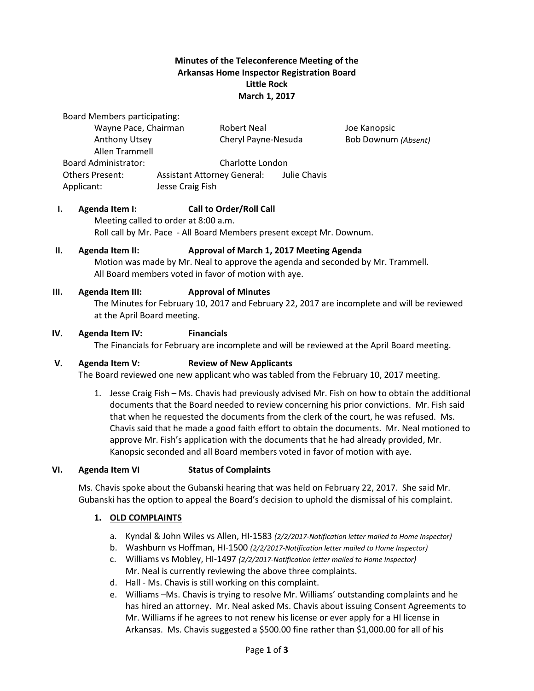## **Minutes of the Teleconference Meeting of the Arkansas Home Inspector Registration Board Little Rock March 1, 2017**

Board Members participating:

| Wayne Pace, Chairman        |                                    | Robert Neal         |              | Joe Kanopsic        |
|-----------------------------|------------------------------------|---------------------|--------------|---------------------|
| Anthony Utsey               |                                    | Cheryl Payne-Nesuda |              | Bob Downum (Absent) |
| Allen Trammell              |                                    |                     |              |                     |
| <b>Board Administrator:</b> | Charlotte London                   |                     |              |                     |
| <b>Others Present:</b>      | <b>Assistant Attorney General:</b> |                     | Julie Chavis |                     |
| Applicant:                  | Jesse Craig Fish                   |                     |              |                     |

## **I. Agenda Item I: Call to Order/Roll Call**

Meeting called to order at 8:00 a.m. Roll call by Mr. Pace - All Board Members present except Mr. Downum.

### **II. Agenda Item II: Approval of March 1, 2017 Meeting Agenda**

Motion was made by Mr. Neal to approve the agenda and seconded by Mr. Trammell. All Board members voted in favor of motion with aye.

### **III. Agenda Item III: Approval of Minutes**

The Minutes for February 10, 2017 and February 22, 2017 are incomplete and will be reviewed at the April Board meeting.

### **IV. Agenda Item IV: Financials**

The Financials for February are incomplete and will be reviewed at the April Board meeting.

#### **V. Agenda Item V: Review of New Applicants**

The Board reviewed one new applicant who was tabled from the February 10, 2017 meeting.

1. Jesse Craig Fish – Ms. Chavis had previously advised Mr. Fish on how to obtain the additional documents that the Board needed to review concerning his prior convictions. Mr. Fish said that when he requested the documents from the clerk of the court, he was refused. Ms. Chavis said that he made a good faith effort to obtain the documents. Mr. Neal motioned to approve Mr. Fish's application with the documents that he had already provided, Mr. Kanopsic seconded and all Board members voted in favor of motion with aye.

#### **VI. Agenda Item VI Status of Complaints**

Ms. Chavis spoke about the Gubanski hearing that was held on February 22, 2017. She said Mr. Gubanski has the option to appeal the Board's decision to uphold the dismissal of his complaint.

## **1. OLD COMPLAINTS**

- a. Kyndal & John Wiles vs Allen, HI-1583 *(2/2/2017-Notification letter mailed to Home Inspector)*
- b. Washburn vs Hoffman, HI-1500 *(2/2/2017-Notification letter mailed to Home Inspector)*
- c. Williams vs Mobley, HI-1497 *(2/2/2017-Notification letter mailed to Home Inspector)* Mr. Neal is currently reviewing the above three complaints.
- d. Hall Ms. Chavis is still working on this complaint.
- e. Williams –Ms. Chavis is trying to resolve Mr. Williams' outstanding complaints and he has hired an attorney. Mr. Neal asked Ms. Chavis about issuing Consent Agreements to Mr. Williams if he agrees to not renew his license or ever apply for a HI license in Arkansas. Ms. Chavis suggested a \$500.00 fine rather than \$1,000.00 for all of his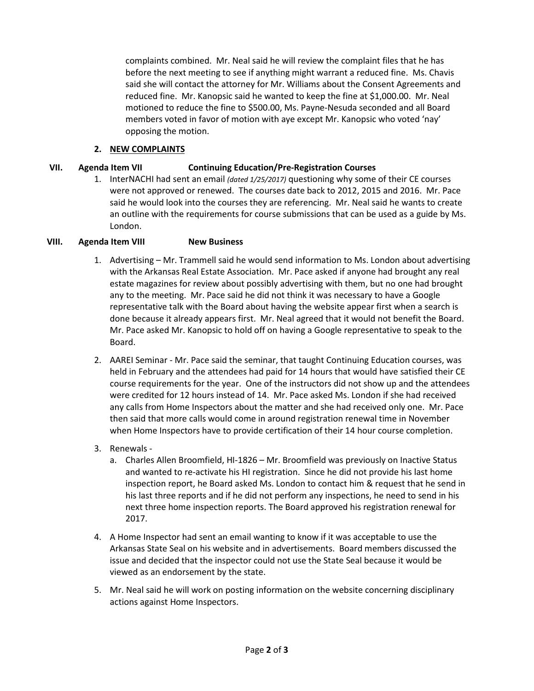complaints combined. Mr. Neal said he will review the complaint files that he has before the next meeting to see if anything might warrant a reduced fine. Ms. Chavis said she will contact the attorney for Mr. Williams about the Consent Agreements and reduced fine. Mr. Kanopsic said he wanted to keep the fine at \$1,000.00. Mr. Neal motioned to reduce the fine to \$500.00, Ms. Payne-Nesuda seconded and all Board members voted in favor of motion with aye except Mr. Kanopsic who voted 'nay' opposing the motion.

## **2. NEW COMPLAINTS**

## **VII. Agenda Item VII Continuing Education/Pre-Registration Courses**

1. InterNACHI had sent an email *(dated 1/25/2017)* questioning why some of their CE courses were not approved or renewed. The courses date back to 2012, 2015 and 2016. Mr. Pace said he would look into the courses they are referencing. Mr. Neal said he wants to create an outline with the requirements for course submissions that can be used as a guide by Ms. London.

## **VIII. Agenda Item VIII New Business**

- 1. Advertising Mr. Trammell said he would send information to Ms. London about advertising with the Arkansas Real Estate Association. Mr. Pace asked if anyone had brought any real estate magazines for review about possibly advertising with them, but no one had brought any to the meeting. Mr. Pace said he did not think it was necessary to have a Google representative talk with the Board about having the website appear first when a search is done because it already appears first. Mr. Neal agreed that it would not benefit the Board. Mr. Pace asked Mr. Kanopsic to hold off on having a Google representative to speak to the Board.
- 2. AAREI Seminar Mr. Pace said the seminar, that taught Continuing Education courses, was held in February and the attendees had paid for 14 hours that would have satisfied their CE course requirements for the year. One of the instructors did not show up and the attendees were credited for 12 hours instead of 14. Mr. Pace asked Ms. London if she had received any calls from Home Inspectors about the matter and she had received only one. Mr. Pace then said that more calls would come in around registration renewal time in November when Home Inspectors have to provide certification of their 14 hour course completion.
- 3. Renewals
	- a. Charles Allen Broomfield, HI-1826 Mr. Broomfield was previously on Inactive Status and wanted to re-activate his HI registration. Since he did not provide his last home inspection report, he Board asked Ms. London to contact him & request that he send in his last three reports and if he did not perform any inspections, he need to send in his next three home inspection reports. The Board approved his registration renewal for 2017.
- 4. A Home Inspector had sent an email wanting to know if it was acceptable to use the Arkansas State Seal on his website and in advertisements. Board members discussed the issue and decided that the inspector could not use the State Seal because it would be viewed as an endorsement by the state.
- 5. Mr. Neal said he will work on posting information on the website concerning disciplinary actions against Home Inspectors.